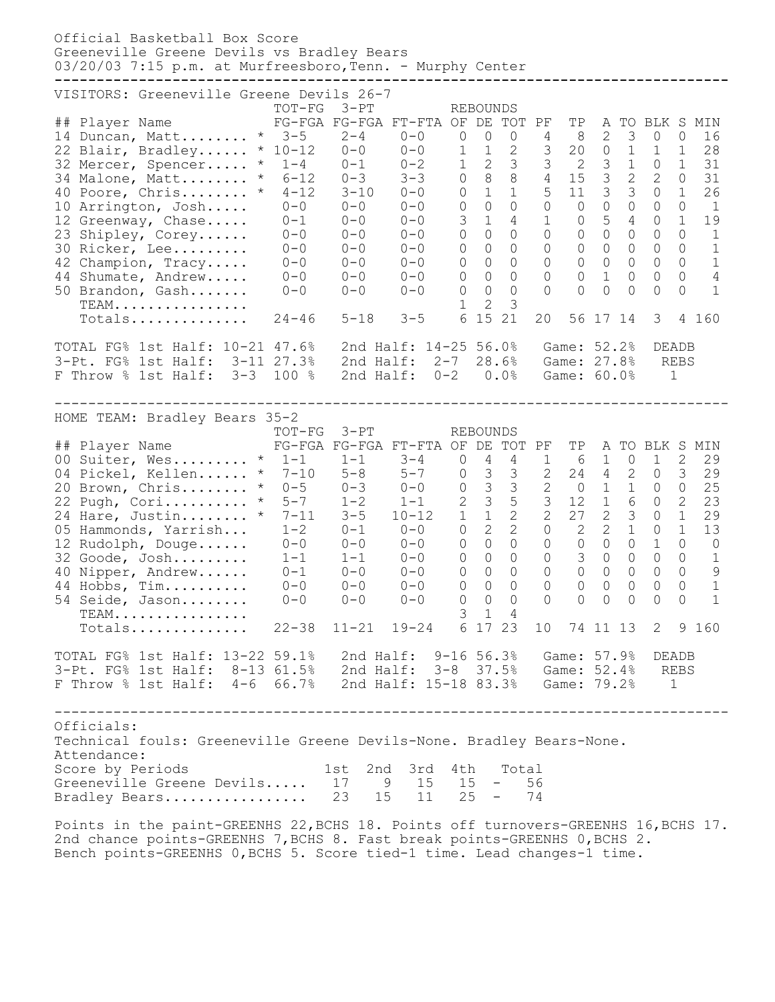Official Basketball Box Score Greeneville Greene Devils vs Bradley Bears 03/20/03 7:15 p.m. at Murfreesboro, Tenn. - Murphy Center **--------------------------------------------------------------------------------** VISITORS: Greeneville Greene Devils 26-7 TOT-FG 3-PT REBOUNDS ## Player Name FG-FGA FG-FGA FT-FTA OF DE TOT PF TP A TO BLK S MIN 14 Duncan, Matt........ \* 3-5 2-4 0-0 0 0 0 4 8 2 3 0 0 16 22 Blair, Bradley...... \* 10-12 0-0 0-0 1 1 2 3 20 0 1 1 1 28 32 Mercer, Spencer..... \* 1-4 0-1 0-2 1 2 3 3 2 3 1 0 1 31 34 Malone, Matt........ \* 6-12 0-3 3-3 0 8 8 4 15 3 2 2 0 31 40 Poore, Chris........ \* 4-12 3-10 0-0 0 1 1 5 11 3 3 0 1 26 10 Arrington, Josh..... 0-0 0-0 0-0 0 0 0 0 0 0 0 0 0 1 12 Greenway, Chase..... 0-1 0-0 0-0 3 1 4 1 0 5 4 0 1 19 23 Shipley, Corey...... 0-0 0-0 0-0 0 0 0 0 0 0 0 0 0 1 30 Ricker, Lee......... 0-0 0-0 0-0 0 0 0 0 0 0 0 0 0 1 42 Champion, Tracy..... 0-0 0-0 0-0 0 0 0 0 0 0 0 0 0 1 44 Shumate, Andrew..... 0-0 0-0 0-0 0 0 0 0 0 1 0 0 0 4 50 Brandon, Gash....... 0-0 0-0 0-0 0 0 0 0 0 0 0 0 0 1 TEAM................ 1 2 3 TEAM.................<br>Totals................. 24-46 5-18 3-5 6 15 21 20 56 17 14 3 4 160 TOTAL FG% 1st Half: 10-21 47.6% 2nd Half: 14-25 56.0% Game: 52.2% DEADB 3-Pt. FG% 1st Half: 3-11 27.3% 2nd Half: 2-7 28.6% Game: 27.8% REBS F Throw % 1st Half: 3-3 100 % 2nd Half: 0-2 0.0% Game: 60.0% 1 -------------------------------------------------------------------------------- HOME TEAM: Bradley Bears 35-2 TOT-FG 3-PT REBOUNDS ## Player Name FG-FGA FG-FGA FT-FTA OF DE TOT PF TP A TO BLK S MIN 00 Suiter, Wes......... \* 1-1 1-1 3-4 0 4 4 1 6 1 0 1 2 29 04 Pickel, Kellen...... \* 7-10 5-8 5-7 0 3 3 2 24 4 2 0 3 29 20 Brown, Chris........ \* 0-5 0-3 0-0 0 3 3 2 0 1 1 0 0 25 22 Pugh, Cori.......... \* 5-7 1-2 1-1 2 3 5 3 12 1 6 0 2 23 24 Hare, Justin........ \* 7-11 3-5 10-12 1 1 2 2 27 2 3 0 1 29 05 Hammonds, Yarrish... 1-2 0-1 0-0 0 2 2 0 2 2 1 0 1 13 12 Rudolph, Douge...... 0-0 0-0 0-0 0 0 0 0 0 0 0 1 0 0 32 Goode, Josh......... 1-1 1-1 0-0 0 0 0 0 3 0 0 0 0 1 40 Nipper, Andrew...... 0-1 0-0 0-0 0 0 0 0 0 0 0 0 0 9 44 Hobbs, Tim.......... 0-0 0-0 0-0 0 0 0 0 0 0 0 0 0 1 54 Seide, Jason........ 0-0 0-0 0-0 0 0 0 0 0 0 0 0 0 1 TEAM................ 3 1 4 Totals.............. 22-38 11-21 19-24 6 17 23 10 74 11 13 2 9 160 TOTAL FG% 1st Half: 13-22 59.1% 2nd Half: 9-16 56.3% Game: 57.9% DEADB 3-Pt. FG% 1st Half: 8-13 61.5% 2nd Half: 3-8 37.5% Game: 52.4% REBS F Throw % 1st Half: 4-6 66.7% 2nd Half: 15-18 83.3% Game: 79.2% 1 -------------------------------------------------------------------------------- Officials: Technical fouls: Greeneville Greene Devils-None. Bradley Bears-None. Attendance: Score by Periods 1st 2nd 3rd 4th Total Greeneville Greene Devils..... 17 9 15 15 - 56 Bradley Bears................. 23 15 11 25 - 74 Points in the paint-GREENHS 22, BCHS 18. Points off turnovers-GREENHS 16, BCHS 17. 2nd chance points-GREENHS 7,BCHS 8. Fast break points-GREENHS 0,BCHS 2.

Bench points-GREENHS 0,BCHS 5. Score tied-1 time. Lead changes-1 time.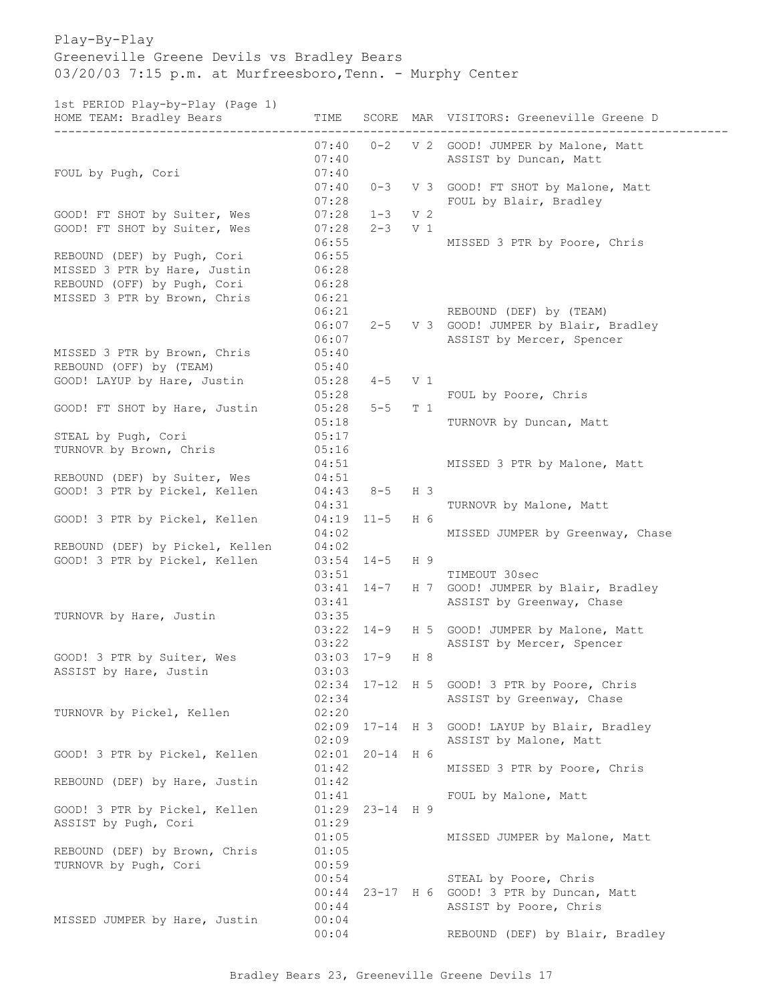## Play-By-Play Greeneville Greene Devils vs Bradley Bears 03/20/03 7:15 p.m. at Murfreesboro, Tenn. - Murphy Center

1st PERIOD Play-by-Play (Page 1)

| HOME TEAM: Bradley Bears        | TIME           |                     |                | SCORE MAR VISITORS: Greeneville Greene D |
|---------------------------------|----------------|---------------------|----------------|------------------------------------------|
|                                 | 07:40          | $0 - 2$             |                | V 2 GOOD! JUMPER by Malone, Matt         |
|                                 | 07:40          |                     |                | ASSIST by Duncan, Matt                   |
| FOUL by Pugh, Cori              | 07:40          |                     |                |                                          |
|                                 | 07:40          | $0 - 3$             | V <sub>3</sub> | GOOD! FT SHOT by Malone, Matt            |
|                                 | 07:28          |                     |                | FOUL by Blair, Bradley                   |
| GOOD! FT SHOT by Suiter, Wes    | 07:28          | $1 - 3$             | V <sub>2</sub> |                                          |
| GOOD! FT SHOT by Suiter, Wes    | 07:28<br>06:55 | $2 - 3$             | V 1            | MISSED 3 PTR by Poore, Chris             |
| REBOUND (DEF) by Pugh, Cori     | 06:55          |                     |                |                                          |
| MISSED 3 PTR by Hare, Justin    | 06:28          |                     |                |                                          |
| REBOUND (OFF) by Pugh, Cori     | 06:28          |                     |                |                                          |
| MISSED 3 PTR by Brown, Chris    | 06:21          |                     |                |                                          |
|                                 | 06:21          |                     |                | REBOUND (DEF) by (TEAM)                  |
|                                 | 06:07          | $2 - 5$             |                | V 3 GOOD! JUMPER by Blair, Bradley       |
|                                 | 06:07          |                     |                | ASSIST by Mercer, Spencer                |
| MISSED 3 PTR by Brown, Chris    | 05:40          |                     |                |                                          |
| REBOUND (OFF) by (TEAM)         | 05:40          |                     |                |                                          |
| GOOD! LAYUP by Hare, Justin     | 05:28          | $4 - 5$             | V <sub>1</sub> |                                          |
|                                 | 05:28          |                     |                | FOUL by Poore, Chris                     |
| GOOD! FT SHOT by Hare, Justin   | 05:28          | $5 - 5$             | T 1            |                                          |
|                                 | 05:18          |                     |                | TURNOVR by Duncan, Matt                  |
| STEAL by Pugh, Cori             | 05:17          |                     |                |                                          |
| TURNOVR by Brown, Chris         | 05:16          |                     |                |                                          |
| REBOUND (DEF) by Suiter, Wes    | 04:51<br>04:51 |                     |                | MISSED 3 PTR by Malone, Matt             |
| GOOD! 3 PTR by Pickel, Kellen   | 04:43          | $8 - 5$             | H 3            |                                          |
|                                 | 04:31          |                     |                | TURNOVR by Malone, Matt                  |
| GOOD! 3 PTR by Pickel, Kellen   | 04:19          | $11 - 5$            | H 6            |                                          |
|                                 | 04:02          |                     |                | MISSED JUMPER by Greenway, Chase         |
| REBOUND (DEF) by Pickel, Kellen | 04:02          |                     |                |                                          |
| GOOD! 3 PTR by Pickel, Kellen   | 03:54          | $14 - 5$            | H 9            |                                          |
|                                 | 03:51          |                     |                | TIMEOUT 30sec                            |
|                                 | 03:41          | $14 - 7$            | H 7            | GOOD! JUMPER by Blair, Bradley           |
|                                 | 03:41          |                     |                | ASSIST by Greenway, Chase                |
| TURNOVR by Hare, Justin         | 03:35          |                     |                |                                          |
|                                 |                | $03:22$ $14-9$      | H 5            | GOOD! JUMPER by Malone, Matt             |
|                                 | 03:22          |                     |                | ASSIST by Mercer, Spencer                |
| GOOD! 3 PTR by Suiter, Wes      | $03:03$ $17-9$ |                     | H 8            |                                          |
| ASSIST by Hare, Justin          | 03:03          |                     |                |                                          |
|                                 | 02:34<br>02:34 |                     |                | 17-12 H 5 GOOD! 3 PTR by Poore, Chris    |
| TURNOVR by Pickel, Kellen       | 02:20          |                     |                | ASSIST by Greenway, Chase                |
|                                 | 02:09          | $17 - 14$ H 3       |                | GOOD! LAYUP by Blair, Bradley            |
|                                 | 02:09          |                     |                | ASSIST by Malone, Matt                   |
| GOOD! 3 PTR by Pickel, Kellen   |                | $02:01$ $20-14$ H 6 |                |                                          |
|                                 | 01:42          |                     |                | MISSED 3 PTR by Poore, Chris             |
| REBOUND (DEF) by Hare, Justin   | 01:42          |                     |                |                                          |
|                                 | 01:41          |                     |                | FOUL by Malone, Matt                     |
| GOOD! 3 PTR by Pickel, Kellen   | 01:29          | $23 - 14$ H 9       |                |                                          |
| ASSIST by Pugh, Cori            | 01:29          |                     |                |                                          |
|                                 | 01:05          |                     |                | MISSED JUMPER by Malone, Matt            |
| REBOUND (DEF) by Brown, Chris   | 01:05          |                     |                |                                          |
| TURNOVR by Pugh, Cori           | 00:59          |                     |                |                                          |
|                                 | 00:54          |                     |                | STEAL by Poore, Chris                    |
|                                 | 00:44          |                     |                | 23-17 H 6 GOOD! 3 PTR by Duncan, Matt    |
|                                 | 00:44          |                     |                | ASSIST by Poore, Chris                   |
| MISSED JUMPER by Hare, Justin   | 00:04          |                     |                |                                          |
|                                 | 00:04          |                     |                | REBOUND (DEF) by Blair, Bradley          |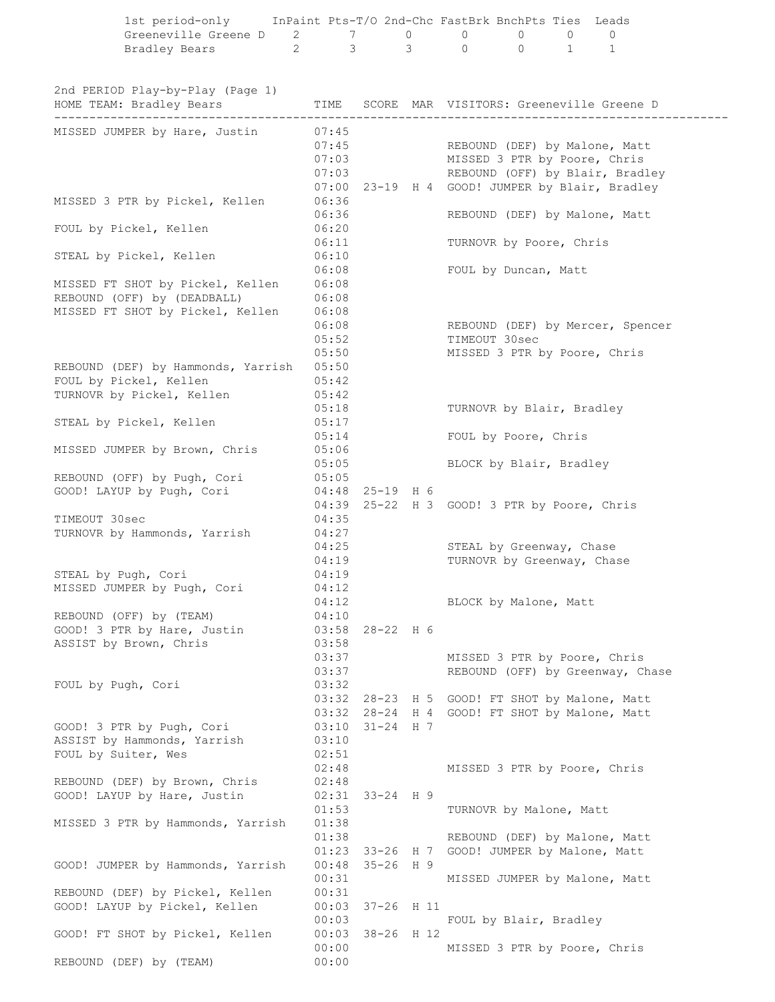|                                                   | 1st period-only InPaint Pts-T/O 2nd-Chc FastBrk BnchPts Ties Leads<br>Greeneville Greene D 2 7 0 0 0 0 0 0<br>Bradley Bears 2 3 3 0 0 1 1 |                                  |                                    |                                                        |  |                                                                        |  |
|---------------------------------------------------|-------------------------------------------------------------------------------------------------------------------------------------------|----------------------------------|------------------------------------|--------------------------------------------------------|--|------------------------------------------------------------------------|--|
|                                                   | 2nd PERIOD Play-by-Play (Page 1)<br>HOME TEAM: Bradley Bears                                                                              |                                  |                                    |                                                        |  | TIME SCORE MAR VISITORS: Greeneville Greene D                          |  |
|                                                   |                                                                                                                                           |                                  |                                    |                                                        |  |                                                                        |  |
|                                                   | MISSED JUMPER by Hare, Justin                                                                                                             | 07:45<br>07:45                   |                                    | 07:03 MISSED 3 PTR by Poore, Chris                     |  | REBOUND (DEF) by Malone, Matt<br>07:03 REBOUND (OFF) by Blair, Bradley |  |
|                                                   | MISSED 3 PTR by Pickel, Kellen                                                                                                            | 06:36                            |                                    |                                                        |  | 07:00 23-19 H 4 GOOD! JUMPER by Blair, Bradley                         |  |
|                                                   | FOUL by Pickel, Kellen                                                                                                                    | 06:36<br>06:20                   |                                    |                                                        |  | REBOUND (DEF) by Malone, Matt                                          |  |
|                                                   | STEAL by Pickel, Kellen                                                                                                                   | 06:11<br>06:10                   |                                    | TURNOVR by Poore, Chris                                |  |                                                                        |  |
|                                                   | MISSED FT SHOT by Pickel, Kellen                                                                                                          | 06:08<br>06:08                   |                                    | FOUL by Duncan, Matt                                   |  |                                                                        |  |
|                                                   | REBOUND (OFF) by (DEADBALL)<br>MISSED FT SHOT by Pickel, Kellen                                                                           | 06:08<br>06:08<br>06:08<br>05:52 |                                    | TIMEOUT 30sec                                          |  | REBOUND (DEF) by Mercer, Spencer                                       |  |
| FOUL by Pickel, Kellen                            | REBOUND (DEF) by Hammonds, Yarrish 05:50                                                                                                  | 05:50<br>05:42                   |                                    | MISSED 3 PTR by Poore, Chris                           |  |                                                                        |  |
|                                                   | TURNOVR by Pickel, Kellen<br>STEAL by Pickel, Kellen                                                                                      | 05:42<br>05:18<br>05:17          |                                    | TURNOVR by Blair, Bradley                              |  |                                                                        |  |
|                                                   |                                                                                                                                           | 05:14                            |                                    | FOUL by Poore, Chris                                   |  |                                                                        |  |
|                                                   | MISSED JUMPER by Brown, Chris<br>REBOUND (OFF) by Pugh, Cori 05:05                                                                        | 05:06<br>05:05                   |                                    | BLOCK by Blair, Bradley                                |  |                                                                        |  |
|                                                   | GOOD! LAYUP by Pugh, Cori 04:48                                                                                                           |                                  | 25-19 H 6                          | 04:39 25-22 H 3 GOOD! 3 PTR by Poore, Chris            |  |                                                                        |  |
| TIMEOUT 30sec                                     |                                                                                                                                           | 04:35                            |                                    |                                                        |  |                                                                        |  |
|                                                   | TURNOVR by Hammonds, Yarrish                                                                                                              | 04:27<br>04:25<br>04:19          |                                    | STEAL by Greenway, Chase<br>TURNOVR by Greenway, Chase |  |                                                                        |  |
| STEAL by Pugh, Cori                               | MISSED JUMPER by Pugh, Cori                                                                                                               | 04:19<br>04:12<br>04:12          |                                    | BLOCK by Malone, Matt                                  |  |                                                                        |  |
| REBOUND (OFF) by (TEAM)<br>ASSIST by Brown, Chris | GOOD! 3 PTR by Hare, Justin                                                                                                               | 04:10<br>03:58<br>03:58          | 28-22 H 6                          |                                                        |  |                                                                        |  |
| FOUL by Pugh, Cori                                |                                                                                                                                           | 03:37<br>03:37<br>03:32          |                                    | MISSED 3 PTR by Poore, Chris                           |  | REBOUND (OFF) by Greenway, Chase                                       |  |
|                                                   |                                                                                                                                           | 03:32                            | $03:32$ $28-23$ H 5<br>28-24 H 4   |                                                        |  | GOOD! FT SHOT by Malone, Matt<br>GOOD! FT SHOT by Malone, Matt         |  |
| FOUL by Suiter, Wes                               | GOOD! 3 PTR by Pugh, Cori<br>ASSIST by Hammonds, Yarrish                                                                                  | 03:10<br>03:10<br>02:51          | $31 - 24$ H 7                      |                                                        |  |                                                                        |  |
|                                                   | REBOUND (DEF) by Brown, Chris<br>GOOD! LAYUP by Hare, Justin                                                                              | 02:48<br>02:48<br>02:31          | 33-24 H 9                          | MISSED 3 PTR by Poore, Chris                           |  |                                                                        |  |
|                                                   | MISSED 3 PTR by Hammonds, Yarrish                                                                                                         | 01:53<br>01:38<br>01:38          |                                    | TURNOVR by Malone, Matt                                |  | REBOUND (DEF) by Malone, Matt                                          |  |
|                                                   | GOOD! JUMPER by Hammonds, Yarrish                                                                                                         | 00:48<br>00:31                   | $01:23$ 33-26 H 7<br>$35 - 26$ H 9 | GOOD! JUMPER by Malone, Matt                           |  | MISSED JUMPER by Malone, Matt                                          |  |
|                                                   | REBOUND (DEF) by Pickel, Kellen<br>GOOD! LAYUP by Pickel, Kellen                                                                          | 00:31<br>00:03<br>00:03          | 37-26 H 11                         |                                                        |  |                                                                        |  |
|                                                   | GOOD! FT SHOT by Pickel, Kellen                                                                                                           | 00:00                            | 00:03 38-26 H 12                   | FOUL by Blair, Bradley<br>MISSED 3 PTR by Poore, Chris |  |                                                                        |  |
| REBOUND (DEF) by (TEAM)                           |                                                                                                                                           | 00:00                            |                                    |                                                        |  |                                                                        |  |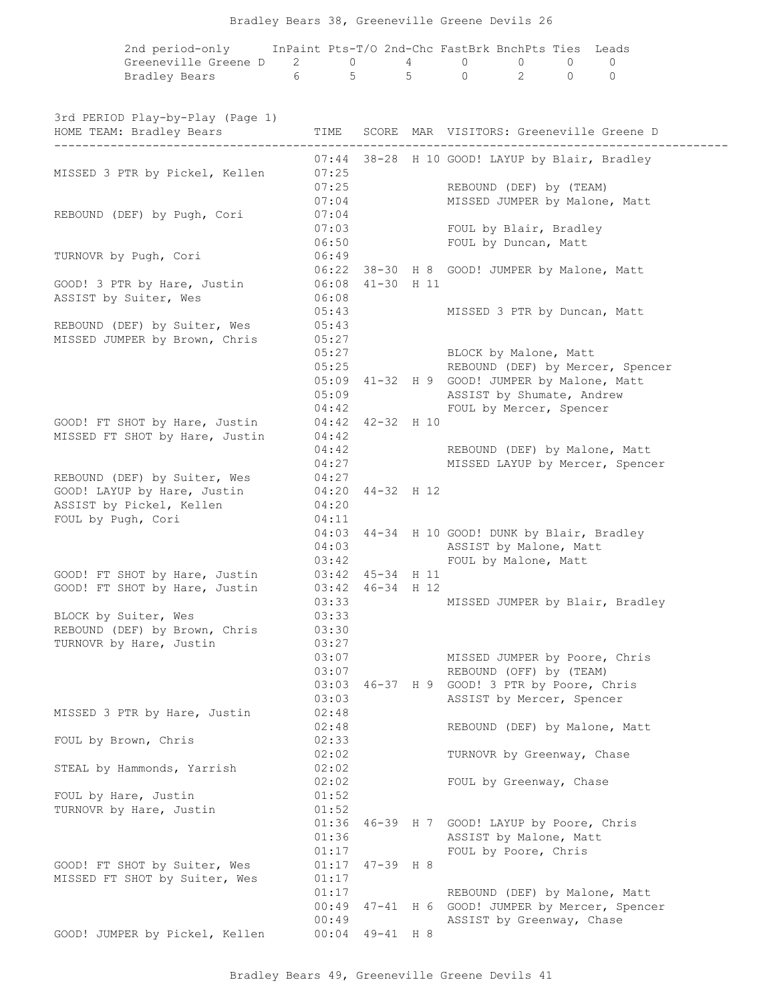|  |  | Bradley Bears 38, Greeneville Greene Devils 26 |  |  |
|--|--|------------------------------------------------|--|--|
|  |  |                                                |  |  |

| 2nd period-only                      | InPaint Pts-T/O 2nd-Chc FastBrk BnchPts Ties Leads |  |  |  |
|--------------------------------------|----------------------------------------------------|--|--|--|
| Greeneville Greene D 2 0 4 0 0 0 0 0 |                                                    |  |  |  |
| Bradley Bears                        | 6 5 5 0 2 0 0                                      |  |  |  |

| 3rd PERIOD Play-by-Play (Page 1)<br>HOME TEAM: Bradley Bears | TIME  |                  | SCORE MAR VISITORS: Greeneville Greene D                                  |
|--------------------------------------------------------------|-------|------------------|---------------------------------------------------------------------------|
| .                                                            |       |                  | -----------------------<br>07:44 38-28 H 10 GOOD! LAYUP by Blair, Bradley |
| MISSED 3 PTR by Pickel, Kellen                               | 07:25 |                  |                                                                           |
|                                                              | 07:25 |                  | REBOUND (DEF) by (TEAM)                                                   |
|                                                              | 07:04 |                  | MISSED JUMPER by Malone, Matt                                             |
| REBOUND (DEF) by Pugh, Cori                                  | 07:04 |                  |                                                                           |
|                                                              | 07:03 |                  | FOUL by Blair, Bradley                                                    |
|                                                              | 06:50 |                  | FOUL by Duncan, Matt                                                      |
| TURNOVR by Pugh, Cori                                        | 06:49 |                  |                                                                           |
|                                                              |       |                  | 06:22 38-30 H 8 GOOD! JUMPER by Malone, Matt                              |
| GOOD! 3 PTR by Hare, Justin                                  |       | 06:08 41-30 H 11 |                                                                           |
| ASSIST by Suiter, Wes                                        | 06:08 |                  |                                                                           |
|                                                              | 05:43 |                  | MISSED 3 PTR by Duncan, Matt                                              |
| REBOUND (DEF) by Suiter, Wes                                 | 05:43 |                  |                                                                           |
| MISSED JUMPER by Brown, Chris                                | 05:27 |                  |                                                                           |
|                                                              | 05:27 |                  | BLOCK by Malone, Matt                                                     |
|                                                              | 05:25 |                  | REBOUND (DEF) by Mercer, Spencer                                          |
|                                                              |       |                  | 05:09 41-32 H 9 GOOD! JUMPER by Malone, Matt                              |
|                                                              | 05:09 |                  | ASSIST by Shumate, Andrew                                                 |
|                                                              | 04:42 |                  | FOUL by Mercer, Spencer                                                   |
| GOOD! FT SHOT by Hare, Justin                                |       | 04:42 42-32 H 10 |                                                                           |
| MISSED FT SHOT by Hare, Justin                               | 04:42 |                  |                                                                           |
|                                                              | 04:42 |                  | REBOUND (DEF) by Malone, Matt                                             |
|                                                              | 04:27 |                  | MISSED LAYUP by Mercer, Spencer                                           |
| REBOUND (DEF) by Suiter, Wes                                 | 04:27 |                  |                                                                           |
| GOOD! LAYUP by Hare, Justin                                  |       | 04:20 44-32 H 12 |                                                                           |
| ASSIST by Pickel, Kellen                                     | 04:20 |                  |                                                                           |
| FOUL by Pugh, Cori                                           | 04:11 |                  |                                                                           |
|                                                              |       |                  | 04:03 44-34 H 10 GOOD! DUNK by Blair, Bradley                             |
|                                                              | 04:03 |                  | ASSIST by Malone, Matt                                                    |
|                                                              | 03:42 |                  | FOUL by Malone, Matt                                                      |
| GOOD! FT SHOT by Hare, Justin                                |       | 03:42 45-34 H 11 |                                                                           |
| GOOD! FT SHOT by Hare, Justin                                |       | 03:42 46-34 H 12 |                                                                           |
|                                                              | 03:33 |                  | MISSED JUMPER by Blair, Bradley                                           |
| BLOCK by Suiter, Wes                                         | 03:33 |                  |                                                                           |
| REBOUND (DEF) by Brown, Chris                                | 03:30 |                  |                                                                           |
| TURNOVR by Hare, Justin                                      | 03:27 |                  |                                                                           |
|                                                              | 03:07 |                  | MISSED JUMPER by Poore, Chris                                             |
|                                                              | 03:07 |                  | REBOUND (OFF) by (TEAM)                                                   |
|                                                              | 03:03 |                  | 46-37 H 9 GOOD! 3 PTR by Poore, Chris                                     |
|                                                              | 03:03 |                  | ASSIST by Mercer, Spencer                                                 |
| MISSED 3 PTR by Hare, Justin                                 | 02:48 |                  |                                                                           |
|                                                              | 02:48 |                  | REBOUND (DEF) by Malone, Matt                                             |
| FOUL by Brown, Chris                                         | 02:33 |                  |                                                                           |
|                                                              | 02:02 |                  | TURNOVR by Greenway, Chase                                                |
| STEAL by Hammonds, Yarrish                                   | 02:02 |                  |                                                                           |
|                                                              | 02:02 |                  | FOUL by Greenway, Chase                                                   |
| FOUL by Hare, Justin                                         | 01:52 |                  |                                                                           |
| TURNOVR by Hare, Justin                                      | 01:52 |                  |                                                                           |
|                                                              | 01:36 |                  | 46-39 H 7 GOOD! LAYUP by Poore, Chris                                     |
|                                                              | 01:36 |                  | ASSIST by Malone, Matt                                                    |
|                                                              | 01:17 |                  | FOUL by Poore, Chris                                                      |
| GOOD! FT SHOT by Suiter, Wes                                 | 01:17 | $47 - 39$ H $8$  |                                                                           |
| MISSED FT SHOT by Suiter, Wes                                | 01:17 |                  |                                                                           |
|                                                              | 01:17 |                  | REBOUND (DEF) by Malone, Matt                                             |
|                                                              | 00:49 |                  | 47-41 H 6 GOOD! JUMPER by Mercer, Spencer                                 |
|                                                              | 00:49 |                  | ASSIST by Greenway, Chase                                                 |
| GOOD! JUMPER by Pickel, Kellen                               | 00:04 | 49-41 H 8        |                                                                           |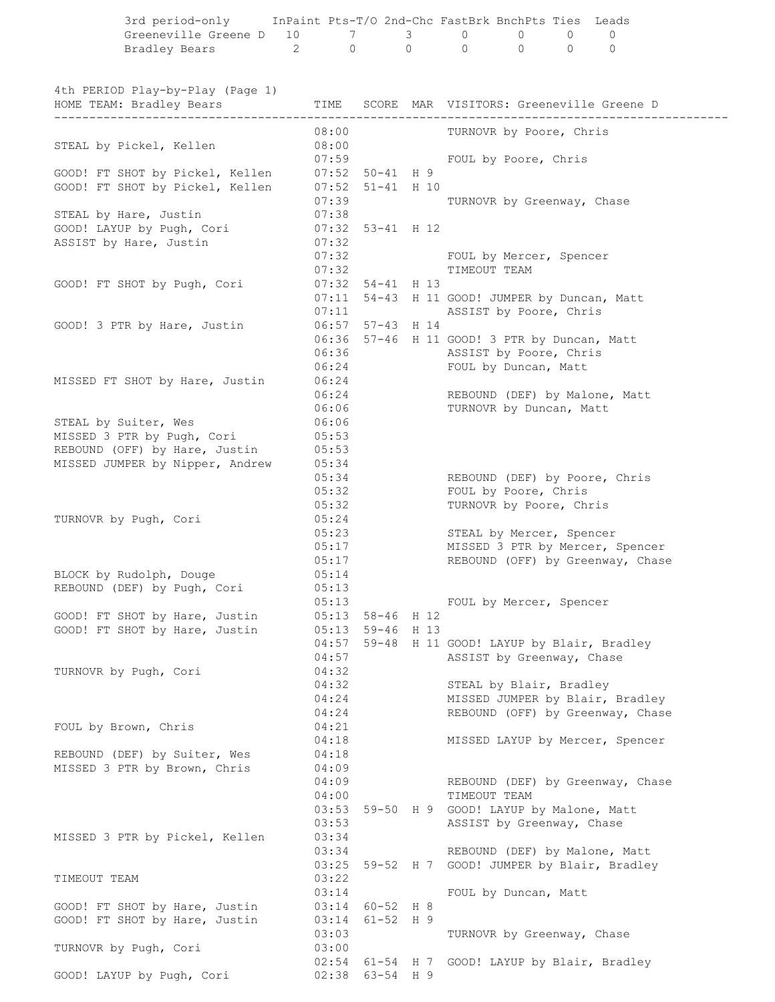|                                                                                                            |                |                                        | 3rd period-only InPaint Pts-T/O 2nd-Chc FastBrk BnchPts Ties Leads              |
|------------------------------------------------------------------------------------------------------------|----------------|----------------------------------------|---------------------------------------------------------------------------------|
| Greeneville Greene D 10 7 3 0 0 0 0<br>Bradley Bears 2 0 0 0 0 0 0                                         |                |                                        |                                                                                 |
|                                                                                                            |                |                                        |                                                                                 |
| 4th PERIOD Play-by-Play (Page 1)<br>HOME TEAM: Bradley Bears TIME SCORE MAR VISITORS: Greeneville Greene D |                |                                        |                                                                                 |
|                                                                                                            | 08:00          |                                        | TURNOVR by Poore, Chris                                                         |
| STEAL by Pickel, Kellen                                                                                    | 08:00          |                                        | 07:59 FOUL by Poore, Chris                                                      |
| GOOD! FT SHOT by Pickel, Kellen 07:52 50-41 H 9                                                            |                |                                        |                                                                                 |
| GOOD! FT SHOT by Pickel, Kellen 07:52 51-41 H 10                                                           | 07:39          |                                        | TURNOVR by Greenway, Chase                                                      |
| STEAL by Hare, Justin                                                                                      | 07:38          |                                        |                                                                                 |
| GOOD! LAYUP by Pugh, Cori 07:32 53-41 H 12                                                                 |                |                                        |                                                                                 |
| ASSIST by Hare, Justin                                                                                     | 07:32          |                                        | 07:32 FOUL by Mercer, Spencer                                                   |
|                                                                                                            |                |                                        | 07:32 TIMEOUT TEAM                                                              |
| GOOD! FT SHOT by Pugh, Cori                                                                                |                | $07:32$ 54-41 H 13                     |                                                                                 |
|                                                                                                            |                |                                        | 07:11 54-43 H 11 GOOD! JUMPER by Duncan, Matt                                   |
| GOOD! 3 PTR by Hare, Justin                                                                                |                | 07:11<br>06:57 57-43 H 14              | ASSIST by Poore, Chris                                                          |
|                                                                                                            |                |                                        | 06:36 57-46 H 11 GOOD! 3 PTR by Duncan, Matt                                    |
|                                                                                                            | 06:36          |                                        | ASSIST by Poore, Chris                                                          |
|                                                                                                            | 06:24          |                                        | FOUL by Duncan, Matt                                                            |
| MISSED FT SHOT by Hare, Justin                                                                             | 06:24          |                                        | 06:24 REBOUND (DEF) by Malone, Matt                                             |
|                                                                                                            | 06:06          |                                        | TURNOVR by Duncan, Matt                                                         |
| STEAL by Suiter, Wes                                                                                       | 06:06          |                                        |                                                                                 |
| MISSED 3 PTR by Pugh, Cori                                                                                 | 05:53          |                                        |                                                                                 |
| REBOUND (OFF) by Hare, Justin                                                                              | 05:53          |                                        |                                                                                 |
| MISSED JUMPER by Nipper, Andrew                                                                            | 05:34<br>05:34 |                                        | REBOUND (DEF) by Poore, Chris                                                   |
|                                                                                                            | 05:32          |                                        | FOUL by Poore, Chris                                                            |
|                                                                                                            | 05:32          |                                        | TURNOVR by Poore, Chris                                                         |
| TURNOVR by Pugh, Cori                                                                                      | 05:24          |                                        |                                                                                 |
|                                                                                                            | 05:23          | 05:17                                  | STEAL by Mercer, Spencer                                                        |
|                                                                                                            | 05:17          |                                        | MISSED 3 PTR by Mercer, Spencer<br>REBOUND (OFF) by Greenway, Chase             |
| BLOCK by Rudolph, Douge                                                                                    | 05:14          |                                        |                                                                                 |
| REBOUND (DEF) by Pugh, Cori                                                                                | 05:13          |                                        |                                                                                 |
|                                                                                                            | 05:13          |                                        | FOUL by Mercer, Spencer                                                         |
| GOOD! FT SHOT by Hare, Justin<br>GOOD! FT SHOT by Hare, Justin                                             |                | $05:13$ 58-46 H 12<br>05:13 59-46 H 13 |                                                                                 |
|                                                                                                            | 04:57          |                                        | 59-48 H 11 GOOD! LAYUP by Blair, Bradley                                        |
|                                                                                                            | 04:57          |                                        | ASSIST by Greenway, Chase                                                       |
| TURNOVR by Pugh, Cori                                                                                      | 04:32          |                                        |                                                                                 |
|                                                                                                            | 04:32          |                                        | STEAL by Blair, Bradley                                                         |
|                                                                                                            | 04:24<br>04:24 |                                        | MISSED JUMPER by Blair, Bradley<br>REBOUND (OFF) by Greenway, Chase             |
| FOUL by Brown, Chris                                                                                       | 04:21          |                                        |                                                                                 |
|                                                                                                            | 04:18          |                                        | MISSED LAYUP by Mercer, Spencer                                                 |
| REBOUND (DEF) by Suiter, Wes                                                                               | 04:18          |                                        |                                                                                 |
| MISSED 3 PTR by Brown, Chris                                                                               | 04:09<br>04:09 |                                        | REBOUND (DEF) by Greenway, Chase                                                |
|                                                                                                            | 04:00          |                                        | TIMEOUT TEAM                                                                    |
|                                                                                                            |                |                                        | 03:53 59-50 H 9 GOOD! LAYUP by Malone, Matt                                     |
|                                                                                                            | 03:53          |                                        | ASSIST by Greenway, Chase                                                       |
| MISSED 3 PTR by Pickel, Kellen                                                                             | 03:34          |                                        |                                                                                 |
|                                                                                                            | 03:34          |                                        | REBOUND (DEF) by Malone, Matt<br>03:25 59-52 H 7 GOOD! JUMPER by Blair, Bradley |
| TIMEOUT TEAM                                                                                               | 03:22          |                                        |                                                                                 |
|                                                                                                            | 03:14          |                                        | FOUL by Duncan, Matt                                                            |
| GOOD! FT SHOT by Hare, Justin                                                                              |                | 03:14 60-52 H 8                        |                                                                                 |
| GOOD! FT SHOT by Hare, Justin                                                                              | 03:14<br>03:03 | $61 - 52$ H 9                          |                                                                                 |
| TURNOVR by Pugh, Cori                                                                                      | 03:00          |                                        | TURNOVR by Greenway, Chase                                                      |
|                                                                                                            |                |                                        | 02:54 61-54 H 7 GOOD! LAYUP by Blair, Bradley                                   |
| GOOD! LAYUP by Pugh, Cori                                                                                  |                | 02:38 63-54 H 9                        |                                                                                 |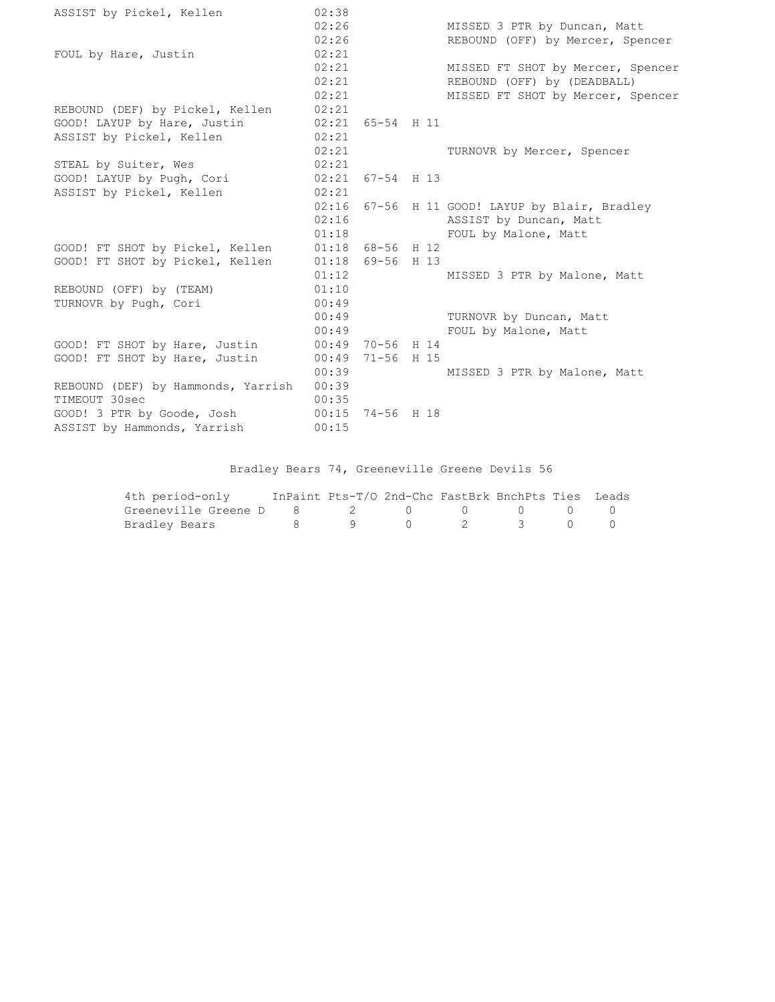| ASSIST by Pickel, Kellen           | 02:38 |                    |                                                |
|------------------------------------|-------|--------------------|------------------------------------------------|
|                                    | 02:26 |                    | MISSED 3 PTR by Duncan, Matt                   |
|                                    | 02:26 |                    | REBOUND (OFF) by Mercer, Spencer               |
| FOUL by Hare, Justin               | 02:21 |                    |                                                |
|                                    | 02:21 |                    | MISSED FT SHOT by Mercer, Spencer              |
|                                    | 02:21 |                    | REBOUND (OFF) by (DEADBALL)                    |
|                                    | 02:21 |                    | MISSED FT SHOT by Mercer, Spencer              |
| REBOUND (DEF) by Pickel, Kellen    | 02:21 |                    |                                                |
| GOOD! LAYUP by Hare, Justin        |       | $02:21$ 65-54 H 11 |                                                |
| ASSIST by Pickel, Kellen           | 02:21 |                    |                                                |
|                                    | 02:21 |                    | TURNOVR by Mercer, Spencer                     |
| STEAL by Suiter, Wes               | 02:21 |                    |                                                |
| GOOD! LAYUP by Pugh, Cori          |       | $02:21$ 67-54 H 13 |                                                |
| ASSIST by Pickel, Kellen           | 02:21 |                    |                                                |
|                                    |       |                    | 02:16 67-56 H 11 GOOD! LAYUP by Blair, Bradley |
|                                    | 02:16 |                    | ASSIST by Duncan, Matt                         |
|                                    | 01:18 |                    | FOUL by Malone, Matt                           |
| GOOD! FT SHOT by Pickel, Kellen    |       | $01:18$ 68-56 H 12 |                                                |
| GOOD! FT SHOT by Pickel, Kellen    |       | $01:18$ 69-56 H 13 |                                                |
|                                    | 01:12 |                    | MISSED 3 PTR by Malone, Matt                   |
| REBOUND (OFF) by (TEAM)            | 01:10 |                    |                                                |
| TURNOVR by Pugh, Cori              | 00:49 |                    |                                                |
|                                    | 00:49 |                    | TURNOVR by Duncan, Matt                        |
|                                    | 00:49 |                    | FOUL by Malone, Matt                           |
| GOOD! FT SHOT by Hare, Justin      |       | 00:49 70-56 H 14   |                                                |
| GOOD! FT SHOT by Hare, Justin      | 00:49 | 71-56 H 15         |                                                |
|                                    | 00:39 |                    | MISSED 3 PTR by Malone, Matt                   |
| REBOUND (DEF) by Hammonds, Yarrish | 00:39 |                    |                                                |
| TIMEOUT 30sec                      | 00:35 |                    |                                                |
| GOOD! 3 PTR by Goode, Josh         |       | 00:15 74-56 H 18   |                                                |
| ASSIST by Hammonds, Yarrish        | 00:15 |                    |                                                |

## Bradley Bears 74, Greeneville Greene Devils 56

| 4th period-only                        |  | InPaint Pts-T/O 2nd-Chc FastBrk BnchPts Ties Leads |  |  |
|----------------------------------------|--|----------------------------------------------------|--|--|
| Greeneville Greene D 8 3 2 0 0 0 0 0 0 |  |                                                    |  |  |
| Bradley Bears                          |  | 8 9 0 2 3 0 0                                      |  |  |